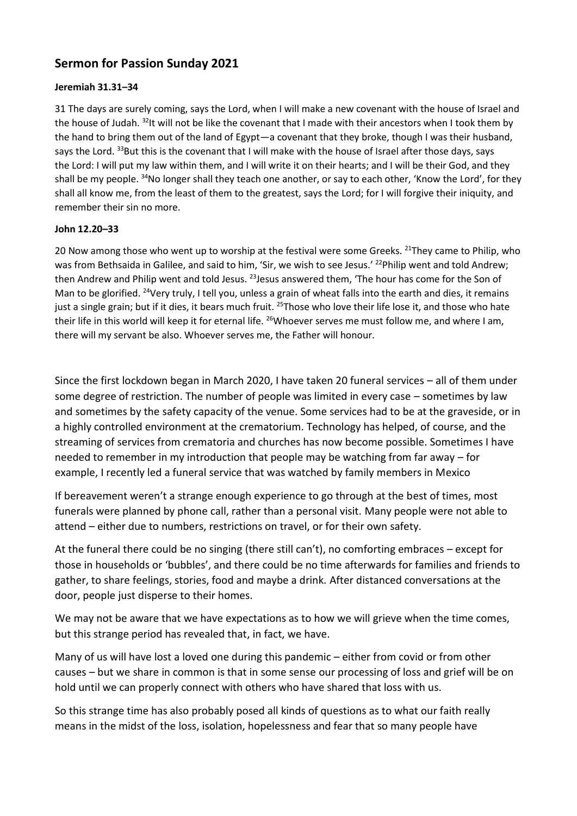## **Sermon for Passion Sunday 2021**

## **Jeremiah 31.31–34**

31 The days are surely coming, says the Lord, when I will make a new covenant with the house of Israel and the house of Judah. <sup>32</sup>It will not be like the covenant that I made with their ancestors when I took them by the hand to bring them out of the land of Egypt—a covenant that they broke, though I was their husband, says the Lord. <sup>33</sup>But this is the covenant that I will make with the house of Israel after those days, says the Lord: I will put my law within them, and I will write it on their hearts; and I will be their God, and they shall be my people. <sup>34</sup>No longer shall they teach one another, or say to each other, 'Know the Lord', for they shall all know me, from the least of them to the greatest, says the Lord; for I will forgive their iniquity, and remember their sin no more.

## **John 12.20–33**

20 Now among those who went up to worship at the festival were some Greeks. <sup>21</sup>They came to Philip, who was from Bethsaida in Galilee, and said to him, 'Sir, we wish to see Jesus.' <sup>22</sup>Philip went and told Andrew; then Andrew and Philip went and told Jesus. <sup>23</sup> Jesus answered them, 'The hour has come for the Son of Man to be glorified. <sup>24</sup>Very truly, I tell you, unless a grain of wheat falls into the earth and dies, it remains just a single grain; but if it dies, it bears much fruit. <sup>25</sup>Those who love their life lose it, and those who hate their life in this world will keep it for eternal life. <sup>26</sup>Whoever serves me must follow me, and where I am, there will my servant be also. Whoever serves me, the Father will honour.

Since the first lockdown began in March 2020, I have taken 20 funeral services – all of them under some degree of restriction. The number of people was limited in every case – sometimes by law and sometimes by the safety capacity of the venue. Some services had to be at the graveside, or in a highly controlled environment at the crematorium. Technology has helped, of course, and the streaming of services from crematoria and churches has now become possible. Sometimes I have needed to remember in my introduction that people may be watching from far away – for example, I recently led a funeral service that was watched by family members in Mexico

If bereavement weren't a strange enough experience to go through at the best of times, most funerals were planned by phone call, rather than a personal visit. Many people were not able to attend – either due to numbers, restrictions on travel, or for their own safety.

At the funeral there could be no singing (there still can't), no comforting embraces – except for those in households or 'bubbles', and there could be no time afterwards for families and friends to gather, to share feelings, stories, food and maybe a drink. After distanced conversations at the door, people just disperse to their homes.

We may not be aware that we have expectations as to how we will grieve when the time comes, but this strange period has revealed that, in fact, we have.

Many of us will have lost a loved one during this pandemic – either from covid or from other causes – but we share in common is that in some sense our processing of loss and grief will be on hold until we can properly connect with others who have shared that loss with us.

So this strange time has also probably posed all kinds of questions as to what our faith really means in the midst of the loss, isolation, hopelessness and fear that so many people have